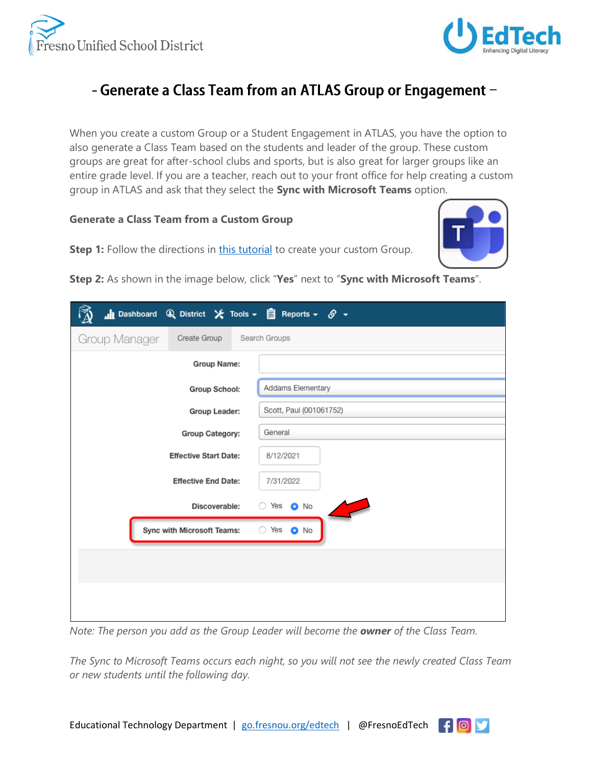



## - Generate a Class Team from an ATLAS Group or Engagement -

When you create a custom Group or a Student Engagement in ATLAS, you have the option to also generate a Class Team based on the students and leader of the group. These custom groups are great for after-school clubs and sports, but is also great for larger groups like an entire grade level. If you are a teacher, reach out to your front office for help creating a custom group in ATLAS and ask that they select the **Sync with Microsoft Teams** option.

## **Generate a Class Team from a Custom Group**



**Step 1:** Follow the directions in [this tutorial](https://fusd.sharepoint.com/:b:/r/sites/LearnAtlas/LearnAtlasTutorials/Managing_Groups_in_ATLAS.pdf?csf=1&web=1&e=HaiSnL) to create your custom Group.

**Step 2:** As shown in the image below, click "**Yes**" next to "**Sync with Microsoft Teams**".

| Ill Dashboard Q District $\bigtimes$ Tools $\cdot$   $\mathop{\boxdot}$ Reports $\cdot$ & $\cdot$ |                          |
|---------------------------------------------------------------------------------------------------|--------------------------|
| Group Manager<br>Create Group                                                                     | Search Groups            |
| Group Name:                                                                                       |                          |
| <b>Group School:</b>                                                                              | Addams Elementary        |
| Group Leader:                                                                                     | Scott, Paul (001061752)  |
| Group Category:                                                                                   | General                  |
| <b>Effective Start Date:</b>                                                                      | 8/12/2021                |
| <b>Effective End Date:</b>                                                                        | 7/31/2022                |
| Discoverable:                                                                                     | $\circ$ Yes $\bullet$ No |
| Sync with Microsoft Teams:                                                                        | ○ Yes ● No               |
|                                                                                                   |                          |
|                                                                                                   |                          |
|                                                                                                   |                          |
|                                                                                                   |                          |

*Note: The person you add as the Group Leader will become the owner of the Class Team.*

*The Sync to Microsoft Teams occurs each night, so you will not see the newly created Class Team or new students until the following day.*